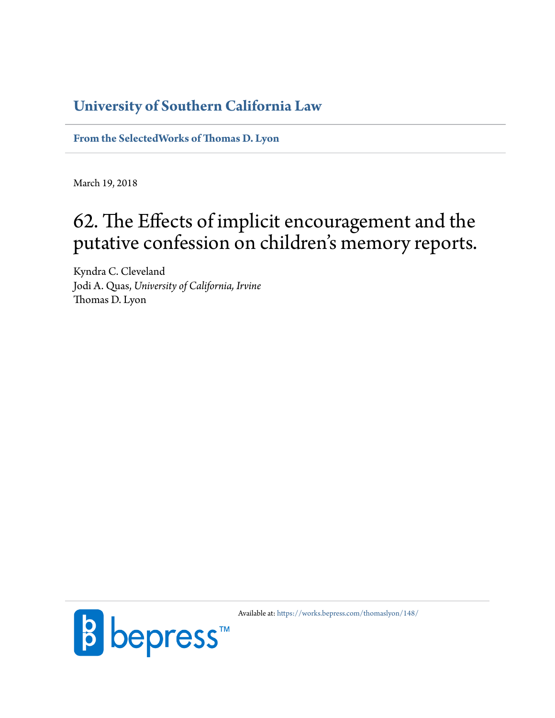# **[University of Southern California Law](http://gould.usc.edu/)**

**[From the SelectedWorks of Thomas D. Lyon](https://works.bepress.com/thomaslyon/)**

March 19, 2018

# 62. The Effects of implicit encouragement and the putative confession on children ' s memory reports.

Kyndra C. Cleveland Jodi A. Quas, *University of California, Irvine* Thomas D. Lyon



Available at: <https://works.bepress.com/thomaslyon/148/>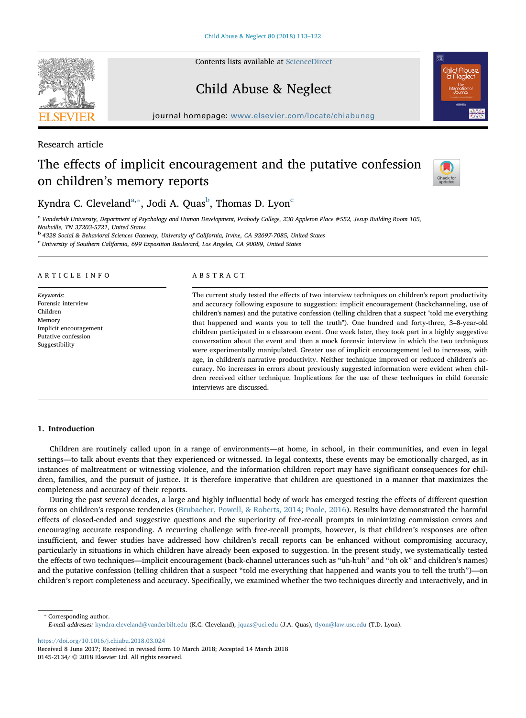Contents lists available at [ScienceDirect](http://www.sciencedirect.com/science/journal/01452134)

# Child Abuse & Neglect

journal homepage: [www.elsevier.com/locate/chiabuneg](https://www.elsevier.com/locate/chiabuneg)

# Research article

# The effects of implicit encouragement and the putative confession on children's memory reports



Kyndra C. Cleveland $a,^*$  $a,^*$ , Jodi A. Quas $^{\rm b}$  $^{\rm b}$  $^{\rm b}$ , Thomas D. Lyon $^{\rm c}$  $^{\rm c}$  $^{\rm c}$ 

<span id="page-1-0"></span>a Vanderbilt University, Department of Psychology and Human Development, Peabody College, 230 Appleton Place #552, Jesup Building Room 105, Nashville, TN 37203-5721, United States

<span id="page-1-2"></span><sup>b</sup> 4328 Social & Behavioral Sciences Gateway, University of California, Irvine, CA 92697-7085, United States

<span id="page-1-3"></span><sup>c</sup> University of Southern California, 699 Exposition Boulevard, Los Angeles, CA 90089, United States

# ARTICLE INFO

Keywords: Forensic interview Children Memory Implicit encouragement Putative confession Suggestibility

# ABSTRACT

The current study tested the effects of two interview techniques on children's report productivity and accuracy following exposure to suggestion: implicit encouragement (backchanneling, use of children's names) and the putative confession (telling children that a suspect "told me everything that happened and wants you to tell the truth"). One hundred and forty-three, 3–8-year-old children participated in a classroom event. One week later, they took part in a highly suggestive conversation about the event and then a mock forensic interview in which the two techniques were experimentally manipulated. Greater use of implicit encouragement led to increases, with age, in children's narrative productivity. Neither technique improved or reduced children's accuracy. No increases in errors about previously suggested information were evident when children received either technique. Implications for the use of these techniques in child forensic interviews are discussed.

# 1. Introduction

Children are routinely called upon in a range of environments—at home, in school, in their communities, and even in legal settings—to talk about events that they experienced or witnessed. In legal contexts, these events may be emotionally charged, as in instances of maltreatment or witnessing violence, and the information children report may have significant consequences for children, families, and the pursuit of justice. It is therefore imperative that children are questioned in a manner that maximizes the completeness and accuracy of their reports.

During the past several decades, a large and highly influential body of work has emerged testing the effects of different question forms on children's response tendencies [\(Brubacher, Powell, & Roberts, 2014;](#page-9-0) [Poole, 2016\)](#page-10-0). Results have demonstrated the harmful effects of closed-ended and suggestive questions and the superiority of free-recall prompts in minimizing commission errors and encouraging accurate responding. A recurring challenge with free-recall prompts, however, is that children's responses are often insufficient, and fewer studies have addressed how children's recall reports can be enhanced without compromising accuracy, particularly in situations in which children have already been exposed to suggestion. In the present study, we systematically tested the effects of two techniques—implicit encouragement (back-channel utterances such as "uh-huh" and "oh ok" and children's names) and the putative confession (telling children that a suspect "told me everything that happened and wants you to tell the truth")—on children's report completeness and accuracy. Specifically, we examined whether the two techniques directly and interactively, and in

<span id="page-1-1"></span>⁎ Corresponding author. E-mail addresses: [kyndra.cleveland@vanderbilt.edu](mailto:kyndra.cleveland@vanderbilt.edu) (K.C. Cleveland), [jquas@uci.edu](mailto:jquas@uci.edu) (J.A. Quas), [tlyon@law.usc.edu](mailto:tlyon@law.usc.edu) (T.D. Lyon).

<https://doi.org/10.1016/j.chiabu.2018.03.024>

Received 8 June 2017; Received in revised form 10 March 2018; Accepted 14 March 2018

0145-2134/ © 2018 Elsevier Ltd. All rights reserved.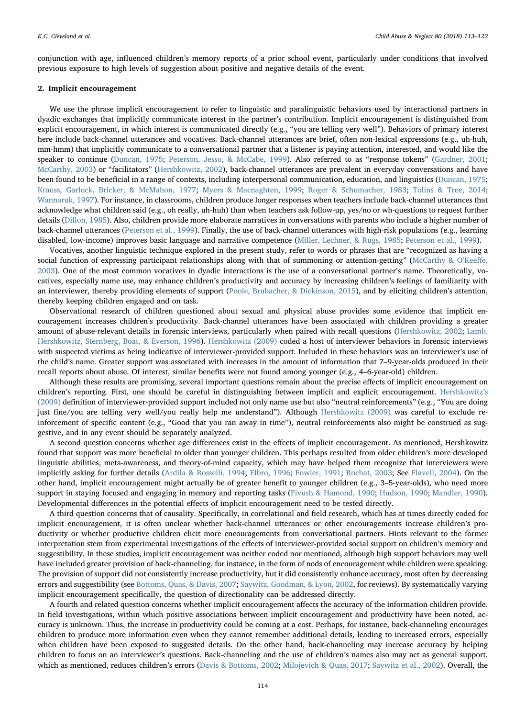conjunction with age, influenced children's memory reports of a prior school event, particularly under conditions that involved previous exposure to high levels of suggestion about positive and negative details of the event.

#### 2. Implicit encouragement

We use the phrase implicit encouragement to refer to linguistic and paralinguistic behaviors used by interactional partners in dyadic exchanges that implicitly communicate interest in the partner's contribution. Implicit encouragement is distinguished from explicit encouragement, in which interest is communicated directly (e.g., "you are telling very well"). Behaviors of primary interest here include back-channel utterances and vocatives. Back-channel utterances are brief, often non-lexical expressions (e.g., uh-huh, mm-hmm) that implicitly communicate to a conversational partner that a listener is paying attention, interested, and would like the speaker to continue ([Duncan, 1975;](#page-9-1) [Peterson, Jesso, & McCabe, 1999](#page-10-1)). Also referred to as "response tokens" [\(Gardner, 2001;](#page-10-2) [McCarthy, 2003](#page-10-3)) or "facilitators" [\(Hershkowitz, 2002](#page-10-4)), back-channel utterances are prevalent in everyday conversations and have been found to be beneficial in a range of contexts, including interpersonal communication, education, and linguistics ([Duncan, 1975;](#page-9-1) [Krauss, Garlock, Bricker, & McMahon, 1977](#page-10-5); [Myers & Macnaghten, 1999;](#page-10-6) [Roger & Schumacher, 1983](#page-10-7); [Tolins & Tree, 2014;](#page-10-8) [Wannaruk, 1997\)](#page-10-9). For instance, in classrooms, children produce longer responses when teachers include back-channel utterances that acknowledge what children said (e.g., oh really, uh-huh) than when teachers ask follow-up, yes/no or wh-questions to request further details ([Dillon, 1985\)](#page-9-2). Also, children provide more elaborate narratives in conversations with parents who include a higher number of back-channel utterances [\(Peterson et al., 1999\)](#page-10-1). Finally, the use of back-channel utterances with high-risk populations (e.g., learning disabled, low-income) improves basic language and narrative competence [\(Miller, Lechner, & Rugs, 1985](#page-10-10); [Peterson et al., 1999\)](#page-10-1).

Vocatives, another linguistic technique explored in the present study, refer to words or phrases that are "recognized as having a social function of expressing participant relationships along with that of summoning or attention-getting" [\(McCarthy & O](#page-10-11)'Keeffe, [2003\)](#page-10-11). One of the most common vocatives in dyadic interactions is the use of a conversational partner's name. Theoretically, vocatives, especially name use, may enhance children's productivity and accuracy by increasing children's feelings of familiarity with an interviewer, thereby providing elements of support [\(Poole, Brubacher, & Dickinson, 2015](#page-10-12)), and by eliciting children's attention, thereby keeping children engaged and on task.

Observational research of children questioned about sexual and physical abuse provides some evidence that implicit encouragement increases children's productivity. Back-channel utterances have been associated with children providing a greater amount of abuse-relevant details in forensic interviews, particularly when paired with recall questions [\(Hershkowitz, 2002;](#page-10-4) [Lamb,](#page-10-13) [Hershkowitz, Sternberg, Boat, & Everson, 1996\)](#page-10-13). [Hershkowitz \(2009\)](#page-10-14) coded a host of interviewer behaviors in forensic interviews with suspected victims as being indicative of interviewer-provided support. Included in these behaviors was an interviewer's use of the child's name. Greater support was associated with increases in the amount of information that 7–9-year-olds produced in their recall reports about abuse. Of interest, similar benefits were not found among younger (e.g., 4–6-year-old) children.

Although these results are promising, several important questions remain about the precise effects of implicit encouragement on children's reporting. First, one should be careful in distinguishing between implicit and explicit encouragement. [Hershkowitz](#page-10-14)'s [\(2009\)](#page-10-14) definition of interviewer-provided support included not only name use but also "neutral reinforcements" (e.g., "You are doing just fine/you are telling very well/you really help me understand"). Although [Hershkowitz \(2009\)](#page-10-14) was careful to exclude reinforcement of specific content (e.g., "Good that you ran away in time"), neutral reinforcements also might be construed as suggestive, and in any event should be separately analyzed.

A second question concerns whether age differences exist in the effects of implicit encouragement. As mentioned, Hershkowitz found that support was more beneficial to older than younger children. This perhaps resulted from older children's more developed linguistic abilities, meta-awareness, and theory-of-mind capacity, which may have helped them recognize that interviewers were implicitly asking for further details ([Ardila & Rosselli, 1994;](#page-9-3) [Elbro, 1996;](#page-9-4) [Fowler, 1991](#page-10-15); [Rochat, 2003](#page-10-16); See [Flavell, 2004\)](#page-9-5). On the other hand, implicit encouragement might actually be of greater benefit to younger children (e.g., 3–5-year-olds), who need more support in staying focused and engaging in memory and reporting tasks [\(Fivush & Hamond, 1990](#page-9-6); [Hudson, 1990;](#page-10-17) [Mandler, 1990](#page-10-18)). Developmental differences in the potential effects of implicit encouragement need to be tested directly.

A third question concerns that of causality. Specifically, in correlational and field research, which has at times directly coded for implicit encouragement, it is often unclear whether back-channel utterances or other encouragements increase children's productivity or whether productive children elicit more encouragements from conversational partners. Hints relevant to the former interpretation stem from experimental investigations of the effects of interviewer-provided social support on children's memory and suggestibility. In these studies, implicit encouragement was neither coded nor mentioned, although high support behaviors may well have included greater provision of back-channeling, for instance, in the form of nods of encouragement while children were speaking. The provision of support did not consistently increase productivity, but it did consistently enhance accuracy, most often by decreasing errors and suggestibility (see [Bottoms, Quas, & Davis, 2007;](#page-9-7) [Saywitz, Goodman, & Lyon, 2002,](#page-10-19) for reviews). By systematically varying implicit encouragement specifically, the question of directionality can be addressed directly.

A fourth and related question concerns whether implicit encouragement affects the accuracy of the information children provide. In field investigations, within which positive associations between implicit encouragement and productivity have been noted, accuracy is unknown. Thus, the increase in productivity could be coming at a cost. Perhaps, for instance, back-channeling encourages children to produce more information even when they cannot remember additional details, leading to increased errors, especially when children have been exposed to suggested details. On the other hand, back-channeling may increase accuracy by helping children to focus on an interviewer's questions. Back-channeling and the use of children's names also may act as general support, which as mentioned, reduces children's errors [\(Davis & Bottoms, 2002](#page-9-8); [Milojevich & Quas, 2017;](#page-10-20) [Saywitz et al., 2002\)](#page-10-19). Overall, the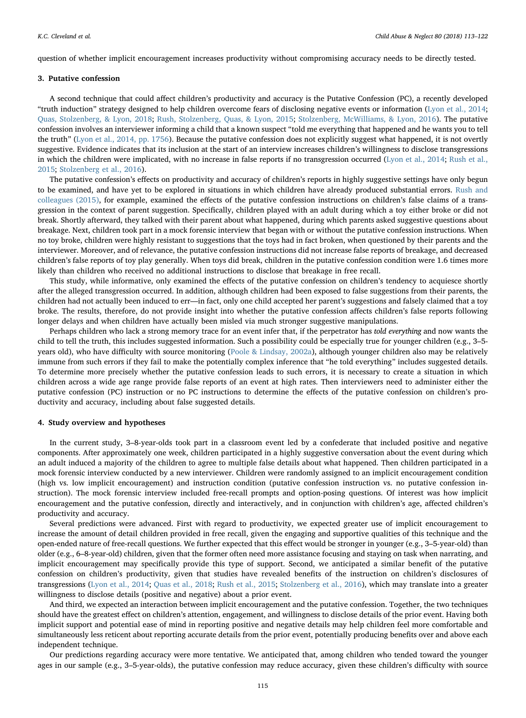question of whether implicit encouragement increases productivity without compromising accuracy needs to be directly tested.

#### 3. Putative confession

A second technique that could affect children's productivity and accuracy is the Putative Confession (PC), a recently developed "truth induction" strategy designed to help children overcome fears of disclosing negative events or information ([Lyon et al., 2014;](#page-10-21) [Quas, Stolzenberg, & Lyon, 2018](#page-10-22); [Rush, Stolzenberg, Quas, & Lyon, 2015;](#page-10-23) [Stolzenberg, McWilliams, & Lyon, 2016\)](#page-10-24). The putative confession involves an interviewer informing a child that a known suspect "told me everything that happened and he wants you to tell the truth" [\(Lyon et al., 2014, pp. 1756\)](#page-10-21). Because the putative confession does not explicitly suggest what happened, it is not overtly suggestive. Evidence indicates that its inclusion at the start of an interview increases children's willingness to disclose transgressions in which the children were implicated, with no increase in false reports if no transgression occurred [\(Lyon et al., 2014;](#page-10-21) [Rush et al.,](#page-10-23) [2015;](#page-10-23) [Stolzenberg et al., 2016\)](#page-10-24).

The putative confession's effects on productivity and accuracy of children's reports in highly suggestive settings have only begun to be examined, and have yet to be explored in situations in which children have already produced substantial errors. [Rush and](#page-10-23) [colleagues \(2015\),](#page-10-23) for example, examined the effects of the putative confession instructions on children's false claims of a transgression in the context of parent suggestion. Specifically, children played with an adult during which a toy either broke or did not break. Shortly afterward, they talked with their parent about what happened, during which parents asked suggestive questions about breakage. Next, children took part in a mock forensic interview that began with or without the putative confession instructions. When no toy broke, children were highly resistant to suggestions that the toys had in fact broken, when questioned by their parents and the interviewer. Moreover, and of relevance, the putative confession instructions did not increase false reports of breakage, and decreased children's false reports of toy play generally. When toys did break, children in the putative confession condition were 1.6 times more likely than children who received no additional instructions to disclose that breakage in free recall.

This study, while informative, only examined the effects of the putative confession on children's tendency to acquiesce shortly after the alleged transgression occurred. In addition, although children had been exposed to false suggestions from their parents, the children had not actually been induced to err—in fact, only one child accepted her parent's suggestions and falsely claimed that a toy broke. The results, therefore, do not provide insight into whether the putative confession affects children's false reports following longer delays and when children have actually been misled via much stronger suggestive manipulations.

Perhaps children who lack a strong memory trace for an event infer that, if the perpetrator has told everything and now wants the child to tell the truth, this includes suggested information. Such a possibility could be especially true for younger children (e.g., 3–5 years old), who have difficulty with source monitoring ([Poole & Lindsay, 2002a\)](#page-10-25), although younger children also may be relatively immune from such errors if they fail to make the potentially complex inference that "he told everything" includes suggested details. To determine more precisely whether the putative confession leads to such errors, it is necessary to create a situation in which children across a wide age range provide false reports of an event at high rates. Then interviewers need to administer either the putative confession (PC) instruction or no PC instructions to determine the effects of the putative confession on children's productivity and accuracy, including about false suggested details.

#### 4. Study overview and hypotheses

In the current study, 3–8-year-olds took part in a classroom event led by a confederate that included positive and negative components. After approximately one week, children participated in a highly suggestive conversation about the event during which an adult induced a majority of the children to agree to multiple false details about what happened. Then children participated in a mock forensic interview conducted by a new interviewer. Children were randomly assigned to an implicit encouragement condition (high vs. low implicit encouragement) and instruction condition (putative confession instruction vs. no putative confession instruction). The mock forensic interview included free-recall prompts and option-posing questions. Of interest was how implicit encouragement and the putative confession, directly and interactively, and in conjunction with children's age, affected children's productivity and accuracy.

Several predictions were advanced. First with regard to productivity, we expected greater use of implicit encouragement to increase the amount of detail children provided in free recall, given the engaging and supportive qualities of this technique and the open-ended nature of free-recall questions. We further expected that this effect would be stronger in younger (e.g., 3–5-year-old) than older (e.g., 6–8-year-old) children, given that the former often need more assistance focusing and staying on task when narrating, and implicit encouragement may specifically provide this type of support. Second, we anticipated a similar benefit of the putative confession on children's productivity, given that studies have revealed benefits of the instruction on children's disclosures of transgressions [\(Lyon et al., 2014](#page-10-21); [Quas et al., 2018](#page-10-22); [Rush et al., 2015](#page-10-23); [Stolzenberg et al., 2016\)](#page-10-24), which may translate into a greater willingness to disclose details (positive and negative) about a prior event.

And third, we expected an interaction between implicit encouragement and the putative confession. Together, the two techniques should have the greatest effect on children's attention, engagement, and willingness to disclose details of the prior event. Having both implicit support and potential ease of mind in reporting positive and negative details may help children feel more comfortable and simultaneously less reticent about reporting accurate details from the prior event, potentially producing benefits over and above each independent technique.

Our predictions regarding accuracy were more tentative. We anticipated that, among children who tended toward the younger ages in our sample (e.g., 3–5-year-olds), the putative confession may reduce accuracy, given these children's difficulty with source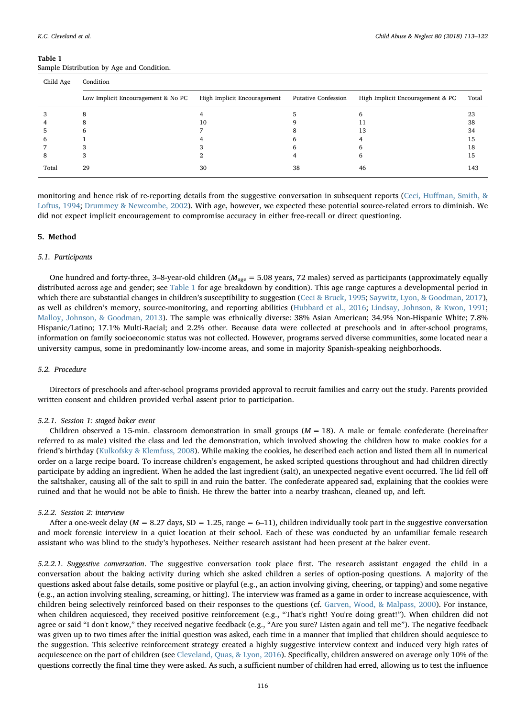<span id="page-4-0"></span>

| Table 1                                   |  |  |
|-------------------------------------------|--|--|
| Sample Distribution by Age and Condition. |  |  |

| Child Age | Condition                          |                             |                            |                                  |       |  |  |  |  |
|-----------|------------------------------------|-----------------------------|----------------------------|----------------------------------|-------|--|--|--|--|
|           | Low Implicit Encouragement & No PC | High Implicit Encouragement | <b>Putative Confession</b> | High Implicit Encouragement & PC | Total |  |  |  |  |
|           |                                    |                             |                            |                                  | 23    |  |  |  |  |
|           |                                    | 10                          |                            | 11                               | 38    |  |  |  |  |
|           |                                    |                             |                            | 13                               | 34    |  |  |  |  |
|           |                                    |                             |                            |                                  | 15    |  |  |  |  |
|           |                                    |                             |                            |                                  | 18    |  |  |  |  |
|           |                                    |                             |                            |                                  | 15    |  |  |  |  |
| Total     | 29                                 | 30                          | 38                         | 46                               | 143   |  |  |  |  |

monitoring and hence risk of re-reporting details from the suggestive conversation in subsequent reports (Ceci, Huff[man, Smith, &](#page-9-9) [Loftus, 1994](#page-9-9); [Drummey & Newcombe, 2002](#page-9-10)). With age, however, we expected these potential source-related errors to diminish. We did not expect implicit encouragement to compromise accuracy in either free-recall or direct questioning.

## 5. Method

### 5.1. Participants

One hundred and forty-three, 3–8-year-old children ( $M_{\text{age}} = 5.08$  years, 72 males) served as participants (approximately equally distributed across age and gender; see [Table 1](#page-4-0) for age breakdown by condition). This age range captures a developmental period in which there are substantial changes in children's susceptibility to suggestion [\(Ceci & Bruck, 1995;](#page-9-11) [Saywitz, Lyon, & Goodman, 2017\)](#page-10-26), as well as children's memory, source-monitoring, and reporting abilities ([Hubbard et al., 2016](#page-10-27); [Lindsay, Johnson, & Kwon, 1991;](#page-10-28) [Malloy, Johnson, & Goodman, 2013](#page-10-29)). The sample was ethnically diverse: 38% Asian American; 34.9% Non-Hispanic White; 7.8% Hispanic/Latino; 17.1% Multi-Racial; and 2.2% other. Because data were collected at preschools and in after-school programs, information on family socioeconomic status was not collected. However, programs served diverse communities, some located near a university campus, some in predominantly low-income areas, and some in majority Spanish-speaking neighborhoods.

# 5.2. Procedure

Directors of preschools and after-school programs provided approval to recruit families and carry out the study. Parents provided written consent and children provided verbal assent prior to participation.

#### 5.2.1. Session 1: staged baker event

Children observed a 15-min. classroom demonstration in small groups  $(M = 18)$ . A male or female confederate (hereinafter referred to as male) visited the class and led the demonstration, which involved showing the children how to make cookies for a friend's birthday ([Kulkofsky & Klemfuss, 2008](#page-10-30)). While making the cookies, he described each action and listed them all in numerical order on a large recipe board. To increase children's engagement, he asked scripted questions throughout and had children directly participate by adding an ingredient. When he added the last ingredient (salt), an unexpected negative event occurred. The lid fell off the saltshaker, causing all of the salt to spill in and ruin the batter. The confederate appeared sad, explaining that the cookies were ruined and that he would not be able to finish. He threw the batter into a nearby trashcan, cleaned up, and left.

### 5.2.2. Session 2: interview

After a one-week delay ( $M = 8.27$  days,  $SD = 1.25$ , range  $= 6-11$ ), children individually took part in the suggestive conversation and mock forensic interview in a quiet location at their school. Each of these was conducted by an unfamiliar female research assistant who was blind to the study's hypotheses. Neither research assistant had been present at the baker event.

5.2.2.1. Suggestive conversation. The suggestive conversation took place first. The research assistant engaged the child in a conversation about the baking activity during which she asked children a series of option-posing questions. A majority of the questions asked about false details, some positive or playful (e.g., an action involving giving, cheering, or tapping) and some negative (e.g., an action involving stealing, screaming, or hitting). The interview was framed as a game in order to increase acquiescence, with children being selectively reinforced based on their responses to the questions (cf. [Garven, Wood, & Malpass, 2000](#page-10-31)). For instance, when children acquiesced, they received positive reinforcement (e.g., "That's right! You're doing great!"). When children did not agree or said "I don't know," they received negative feedback (e.g., "Are you sure? Listen again and tell me"). The negative feedback was given up to two times after the initial question was asked, each time in a manner that implied that children should acquiesce to the suggestion. This selective reinforcement strategy created a highly suggestive interview context and induced very high rates of acquiescence on the part of children (see [Cleveland, Quas, & Lyon, 2016](#page-9-12)). Specifically, children answered on average only 10% of the questions correctly the final time they were asked. As such, a sufficient number of children had erred, allowing us to test the influence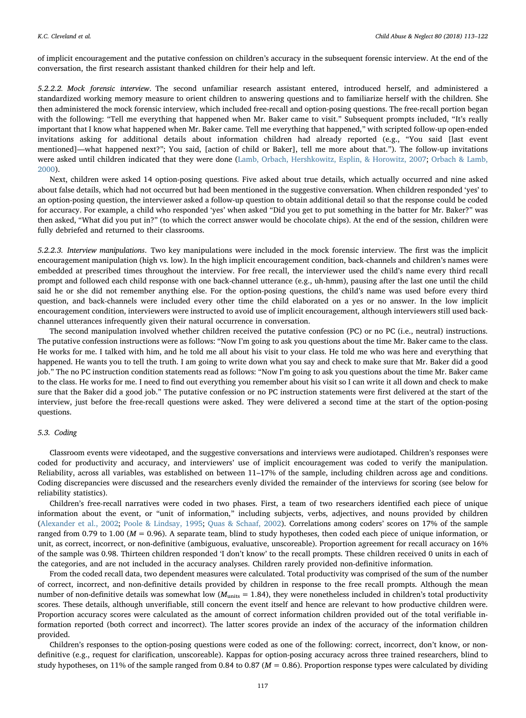of implicit encouragement and the putative confession on children's accuracy in the subsequent forensic interview. At the end of the conversation, the first research assistant thanked children for their help and left.

5.2.2.2. Mock forensic interview. The second unfamiliar research assistant entered, introduced herself, and administered a standardized working memory measure to orient children to answering questions and to familiarize herself with the children. She then administered the mock forensic interview, which included free-recall and option-posing questions. The free-recall portion began with the following: "Tell me everything that happened when Mr. Baker came to visit." Subsequent prompts included, "It's really important that I know what happened when Mr. Baker came. Tell me everything that happened," with scripted follow-up open-ended invitations asking for additional details about information children had already reported (e.g., "You said [last event mentioned]—what happened next?"; You said, [action of child or Baker], tell me more about that."). The follow-up invitations were asked until children indicated that they were done [\(Lamb, Orbach, Hershkowitz, Esplin, & Horowitz, 2007;](#page-10-32) [Orbach & Lamb,](#page-10-33) [2000\)](#page-10-33).

Next, children were asked 14 option-posing questions. Five asked about true details, which actually occurred and nine asked about false details, which had not occurred but had been mentioned in the suggestive conversation. When children responded 'yes' to an option-posing question, the interviewer asked a follow-up question to obtain additional detail so that the response could be coded for accuracy. For example, a child who responded 'yes' when asked "Did you get to put something in the batter for Mr. Baker?" was then asked, "What did you put in?" (to which the correct answer would be chocolate chips). At the end of the session, children were fully debriefed and returned to their classrooms.

5.2.2.3. Interview manipulations. Two key manipulations were included in the mock forensic interview. The first was the implicit encouragement manipulation (high vs. low). In the high implicit encouragement condition, back-channels and children's names were embedded at prescribed times throughout the interview. For free recall, the interviewer used the child's name every third recall prompt and followed each child response with one back-channel utterance (e.g., uh-hmm), pausing after the last one until the child said he or she did not remember anything else. For the option-posing questions, the child's name was used before every third question, and back-channels were included every other time the child elaborated on a yes or no answer. In the low implicit encouragement condition, interviewers were instructed to avoid use of implicit encouragement, although interviewers still used backchannel utterances infrequently given their natural occurrence in conversation.

The second manipulation involved whether children received the putative confession (PC) or no PC (i.e., neutral) instructions. The putative confession instructions were as follows: "Now I'm going to ask you questions about the time Mr. Baker came to the class. He works for me. I talked with him, and he told me all about his visit to your class. He told me who was here and everything that happened. He wants you to tell the truth. I am going to write down what you say and check to make sure that Mr. Baker did a good job." The no PC instruction condition statements read as follows: "Now I'm going to ask you questions about the time Mr. Baker came to the class. He works for me. I need to find out everything you remember about his visit so I can write it all down and check to make sure that the Baker did a good job." The putative confession or no PC instruction statements were first delivered at the start of the interview, just before the free-recall questions were asked. They were delivered a second time at the start of the option-posing questions.

# 5.3. Coding

Classroom events were videotaped, and the suggestive conversations and interviews were audiotaped. Children's responses were coded for productivity and accuracy, and interviewers' use of implicit encouragement was coded to verify the manipulation. Reliability, across all variables, was established on between 11–17% of the sample, including children across age and conditions. Coding discrepancies were discussed and the researchers evenly divided the remainder of the interviews for scoring (see below for reliability statistics).

Children's free-recall narratives were coded in two phases. First, a team of two researchers identified each piece of unique information about the event, or "unit of information," including subjects, verbs, adjectives, and nouns provided by children ([Alexander et al., 2002;](#page-9-13) [Poole & Lindsay, 1995;](#page-10-34) [Quas & Schaaf, 2002](#page-10-35)). Correlations among coders' scores on 17% of the sample ranged from 0.79 to 1.00 ( $M = 0.96$ ). A separate team, blind to study hypotheses, then coded each piece of unique information, or unit, as correct, incorrect, or non-definitive (ambiguous, evaluative, unscoreable). Proportion agreement for recall accuracy on 16% of the sample was 0.98. Thirteen children responded 'I don't know' to the recall prompts. These children received 0 units in each of the categories, and are not included in the accuracy analyses. Children rarely provided non-definitive information.

From the coded recall data, two dependent measures were calculated. Total productivity was comprised of the sum of the number of correct, incorrect, and non-definitive details provided by children in response to the free recall prompts. Although the mean number of non-definitive details was somewhat low  $(M_{\text{units}} = 1.84)$ , they were nonetheless included in children's total productivity scores. These details, although unverifiable, still concern the event itself and hence are relevant to how productive children were. Proportion accuracy scores were calculated as the amount of correct information children provided out of the total verifiable information reported (both correct and incorrect). The latter scores provide an index of the accuracy of the information children provided.

Children's responses to the option-posing questions were coded as one of the following: correct, incorrect, don't know, or nondefinitive (e.g., request for clarification, unscoreable). Kappas for option-posing accuracy across three trained researchers, blind to study hypotheses, on 11% of the sample ranged from 0.84 to 0.87 ( $M = 0.86$ ). Proportion response types were calculated by dividing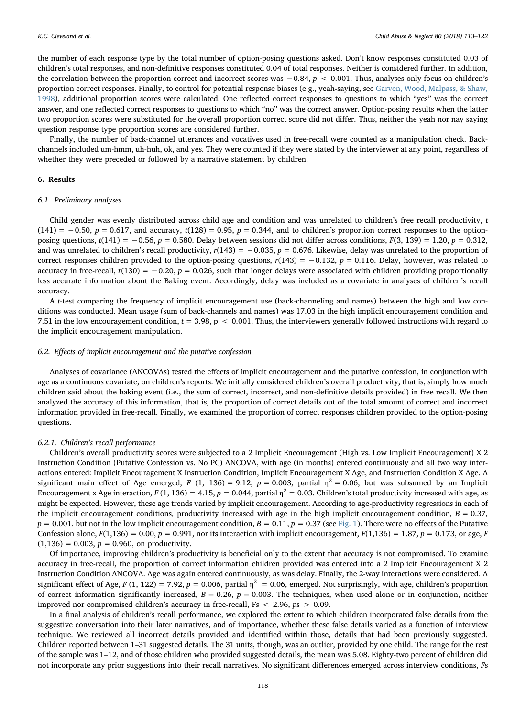the number of each response type by the total number of option-posing questions asked. Don't know responses constituted 0.03 of children's total responses, and non-definitive responses constituted 0.04 of total responses. Neither is considered further. In addition, the correlation between the proportion correct and incorrect scores was −0.84, p < 0.001. Thus, analyses only focus on children's proportion correct responses. Finally, to control for potential response biases (e.g., yeah-saying, see [Garven, Wood, Malpass, & Shaw,](#page-10-36) [1998\)](#page-10-36), additional proportion scores were calculated. One reflected correct responses to questions to which "yes" was the correct answer, and one reflected correct responses to questions to which "no" was the correct answer. Option-posing results when the latter two proportion scores were substituted for the overall proportion correct score did not differ. Thus, neither the yeah nor nay saying question response type proportion scores are considered further.

Finally, the number of back-channel utterances and vocatives used in free-recall were counted as a manipulation check. Backchannels included um-hmm, uh-huh, ok, and yes. They were counted if they were stated by the interviewer at any point, regardless of whether they were preceded or followed by a narrative statement by children.

# 6. Results

#### 6.1. Preliminary analyses

Child gender was evenly distributed across child age and condition and was unrelated to children's free recall productivity, t  $(141) = -0.50$ ,  $p = 0.617$ , and accuracy,  $t(128) = 0.95$ ,  $p = 0.344$ , and to children's proportion correct responses to the optionposing questions,  $t(141) = -0.56$ ,  $p = 0.580$ . Delay between sessions did not differ across conditions,  $F(3, 139) = 1.20$ ,  $p = 0.312$ , and was unrelated to children's recall productivity,  $r(143) = -0.035$ ,  $p = 0.676$ . Likewise, delay was unrelated to the proportion of correct responses children provided to the option-posing questions,  $r(143) = -0.132$ ,  $p = 0.116$ . Delay, however, was related to accuracy in free-recall,  $r(130) = -0.20$ ,  $p = 0.026$ , such that longer delays were associated with children providing proportionally less accurate information about the Baking event. Accordingly, delay was included as a covariate in analyses of children's recall accuracy.

A t-test comparing the frequency of implicit encouragement use (back-channeling and names) between the high and low conditions was conducted. Mean usage (sum of back-channels and names) was 17.03 in the high implicit encouragement condition and 7.51 in the low encouragement condition,  $t = 3.98$ ,  $p < 0.001$ . Thus, the interviewers generally followed instructions with regard to the implicit encouragement manipulation.

#### 6.2. Effects of implicit encouragement and the putative confession

Analyses of covariance (ANCOVAs) tested the effects of implicit encouragement and the putative confession, in conjunction with age as a continuous covariate, on children's reports. We initially considered children's overall productivity, that is, simply how much children said about the baking event (i.e., the sum of correct, incorrect, and non-definitive details provided) in free recall. We then analyzed the accuracy of this information, that is, the proportion of correct details out of the total amount of correct and incorrect information provided in free-recall. Finally, we examined the proportion of correct responses children provided to the option-posing questions.

## 6.2.1. Children's recall performance

Children's overall productivity scores were subjected to a 2 Implicit Encouragement (High vs. Low Implicit Encouragement) X 2 Instruction Condition (Putative Confession vs. No PC) ANCOVA, with age (in months) entered continuously and all two way interactions entered: Implicit Encouragement X Instruction Condition, Implicit Encouragement X Age, and Instruction Condition X Age. A significant main effect of Age emerged, F (1, 136) = 9.12, p = 0.003, partial  $\eta^2$  = 0.06, but was subsumed by an Implicit Encouragement x Age interaction, F (1, 136) = 4.15, p = 0.044, partial  $\eta^2$  = 0.03. Children's total productivity increased with age, as might be expected. However, these age trends varied by implicit encouragement. According to age-productivity regressions in each of the implicit encouragement conditions, productivity increased with age in the high implicit encouragement condition,  $B = 0.37$ ,  $p = 0.001$ , but not in the low implicit encouragement condition,  $B = 0.11$ ,  $p = 0.37$  (see [Fig. 1\)](#page-7-0). There were no effects of the Putative Confession alone,  $F(1,136) = 0.00$ ,  $p = 0.991$ , nor its interaction with implicit encouragement,  $F(1,136) = 1.87$ ,  $p = 0.173$ , or age, F  $(1,136) = 0.003, p = 0.960,$  on productivity.

Of importance, improving children's productivity is beneficial only to the extent that accuracy is not compromised. To examine accuracy in free-recall, the proportion of correct information children provided was entered into a 2 Implicit Encouragement X 2 Instruction Condition ANCOVA. Age was again entered continuously, as was delay. Finally, the 2-way interactions were considered. A significant effect of Age, F (1, 122) = 7.92, p = 0.006, partial  $\eta^2$  = 0.06, emerged. Not surprisingly, with age, children's proportion of correct information significantly increased,  $B = 0.26$ ,  $p = 0.003$ . The techniques, when used alone or in conjunction, neither improved nor compromised children's accuracy in free-recall, Fs  $\leq$  2.96, ps  $\geq$  0.09.

In a final analysis of children's recall performance, we explored the extent to which children incorporated false details from the suggestive conversation into their later narratives, and of importance, whether these false details varied as a function of interview technique. We reviewed all incorrect details provided and identified within those, details that had been previously suggested. Children reported between 1–31 suggested details. The 31 units, though, was an outlier, provided by one child. The range for the rest of the sample was 1–12, and of those children who provided suggested details, the mean was 5.08. Eighty-two percent of children did not incorporate any prior suggestions into their recall narratives. No significant differences emerged across interview conditions, Fs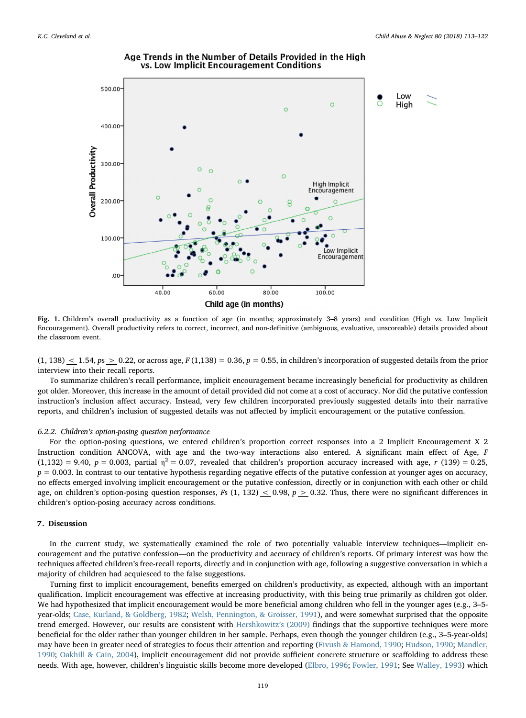<span id="page-7-0"></span>

Age Trends in the Number of Details Provided in the High vs. Low Implicit Encouragement Conditions

Fig. 1. Children's overall productivity as a function of age (in months; approximately 3–8 years) and condition (High vs. Low Implicit Encouragement). Overall productivity refers to correct, incorrect, and non-definitive (ambiguous, evaluative, unscoreable) details provided about the classroom event.

 $(1, 138)$  < 1.54, ps > 0.22, or across age, F (1,138) = 0.36, p = 0.55, in children's incorporation of suggested details from the prior interview into their recall reports.

To summarize children's recall performance, implicit encouragement became increasingly beneficial for productivity as children got older. Moreover, this increase in the amount of detail provided did not come at a cost of accuracy. Nor did the putative confession instruction's inclusion affect accuracy. Instead, very few children incorporated previously suggested details into their narrative reports, and children's inclusion of suggested details was not affected by implicit encouragement or the putative confession.

#### 6.2.2. Children's option-posing question performance

For the option-posing questions, we entered children's proportion correct responses into a 2 Implicit Encouragement X 2 Instruction condition ANCOVA, with age and the two-way interactions also entered. A significant main effect of Age, F (1,132) = 9.40,  $p = 0.003$ , partial  $\eta^2 = 0.07$ , revealed that children's proportion accuracy increased with age, r (139) = 0.25,  $p = 0.003$ . In contrast to our tentative hypothesis regarding negative effects of the putative confession at younger ages on accuracy, no effects emerged involving implicit encouragement or the putative confession, directly or in conjunction with each other or child age, on children's option-posing question responses, Fs  $(1, 132) < 0.98$ ,  $p > 0.32$ . Thus, there were no significant differences in children's option-posing accuracy across conditions.

# 7. Discussion

In the current study, we systematically examined the role of two potentially valuable interview techniques—implicit encouragement and the putative confession—on the productivity and accuracy of children's reports. Of primary interest was how the techniques affected children's free-recall reports, directly and in conjunction with age, following a suggestive conversation in which a majority of children had acquiesced to the false suggestions.

Turning first to implicit encouragement, benefits emerged on children's productivity, as expected, although with an important qualification. Implicit encouragement was effective at increasing productivity, with this being true primarily as children got older. We had hypothesized that implicit encouragement would be more beneficial among children who fell in the younger ages (e.g., 3–5year-olds; [Case, Kurland, & Goldberg, 1982](#page-9-14); [Welsh, Pennington, & Groisser, 1991\)](#page-10-37), and were somewhat surprised that the opposite trend emerged. However, our results are consistent with [Hershkowitz](#page-10-14)'s (2009) findings that the supportive techniques were more beneficial for the older rather than younger children in her sample. Perhaps, even though the younger children (e.g., 3–5-year-olds) may have been in greater need of strategies to focus their attention and reporting ([Fivush & Hamond, 1990](#page-9-6); [Hudson, 1990](#page-10-17); [Mandler,](#page-10-18) [1990;](#page-10-18) [Oakhill & Cain, 2004\)](#page-10-38), implicit encouragement did not provide sufficient concrete structure or scaffolding to address these needs. With age, however, children's linguistic skills become more developed ([Elbro, 1996](#page-9-4); [Fowler, 1991](#page-10-15); See [Walley, 1993](#page-10-39)) which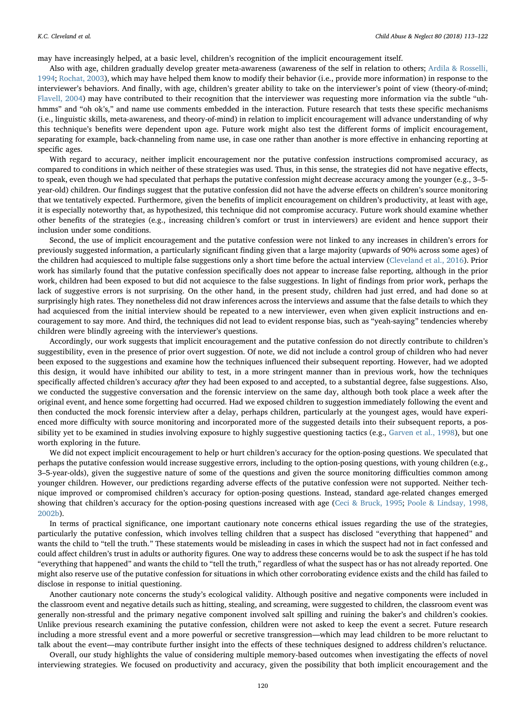may have increasingly helped, at a basic level, children's recognition of the implicit encouragement itself.

Also with age, children gradually develop greater meta-awareness (awareness of the self in relation to others; [Ardila & Rosselli,](#page-9-3) [1994;](#page-9-3) [Rochat, 2003\)](#page-10-16), which may have helped them know to modify their behavior (i.e., provide more information) in response to the interviewer's behaviors. And finally, with age, children's greater ability to take on the interviewer's point of view (theory-of-mind; [Flavell, 2004](#page-9-5)) may have contributed to their recognition that the interviewer was requesting more information via the subtle "uhhmms" and "oh ok's," and name use comments embedded in the interaction. Future research that tests these specific mechanisms (i.e., linguistic skills, meta-awareness, and theory-of-mind) in relation to implicit encouragement will advance understanding of why this technique's benefits were dependent upon age. Future work might also test the different forms of implicit encouragement, separating for example, back-channeling from name use, in case one rather than another is more effective in enhancing reporting at specific ages.

With regard to accuracy, neither implicit encouragement nor the putative confession instructions compromised accuracy, as compared to conditions in which neither of these strategies was used. Thus, in this sense, the strategies did not have negative effects, to speak, even though we had speculated that perhaps the putative confession might decrease accuracy among the younger (e.g., 3–5 year-old) children. Our findings suggest that the putative confession did not have the adverse effects on children's source monitoring that we tentatively expected. Furthermore, given the benefits of implicit encouragement on children's productivity, at least with age, it is especially noteworthy that, as hypothesized, this technique did not compromise accuracy. Future work should examine whether other benefits of the strategies (e.g., increasing children's comfort or trust in interviewers) are evident and hence support their inclusion under some conditions.

Second, the use of implicit encouragement and the putative confession were not linked to any increases in children's errors for previously suggested information, a particularly significant finding given that a large majority (upwards of 90% across some ages) of the children had acquiesced to multiple false suggestions only a short time before the actual interview [\(Cleveland et al., 2016](#page-9-12)). Prior work has similarly found that the putative confession specifically does not appear to increase false reporting, although in the prior work, children had been exposed to but did not acquiesce to the false suggestions. In light of findings from prior work, perhaps the lack of suggestive errors is not surprising. On the other hand, in the present study, children had just erred, and had done so at surprisingly high rates. They nonetheless did not draw inferences across the interviews and assume that the false details to which they had acquiesced from the initial interview should be repeated to a new interviewer, even when given explicit instructions and encouragement to say more. And third, the techniques did not lead to evident response bias, such as "yeah-saying" tendencies whereby children were blindly agreeing with the interviewer's questions.

Accordingly, our work suggests that implicit encouragement and the putative confession do not directly contribute to children's suggestibility, even in the presence of prior overt suggestion. Of note, we did not include a control group of children who had never been exposed to the suggestions and examine how the techniques influenced their subsequent reporting. However, had we adopted this design, it would have inhibited our ability to test, in a more stringent manner than in previous work, how the techniques specifically affected children's accuracy after they had been exposed to and accepted, to a substantial degree, false suggestions. Also, we conducted the suggestive conversation and the forensic interview on the same day, although both took place a week after the original event, and hence some forgetting had occurred. Had we exposed children to suggestion immediately following the event and then conducted the mock forensic interview after a delay, perhaps children, particularly at the youngest ages, would have experienced more difficulty with source monitoring and incorporated more of the suggested details into their subsequent reports, a pos-sibility yet to be examined in studies involving exposure to highly suggestive questioning tactics (e.g., [Garven et al., 1998\)](#page-10-36), but one worth exploring in the future.

We did not expect implicit encouragement to help or hurt children's accuracy for the option-posing questions. We speculated that perhaps the putative confession would increase suggestive errors, including to the option-posing questions, with young children (e.g., 3–5-year-olds), given the suggestive nature of some of the questions and given the source monitoring difficulties common among younger children. However, our predictions regarding adverse effects of the putative confession were not supported. Neither technique improved or compromised children's accuracy for option-posing questions. Instead, standard age-related changes emerged showing that children's accuracy for the option-posing questions increased with age ([Ceci & Bruck, 1995;](#page-9-11) [Poole & Lindsay, 1998,](#page-10-40) [2002b](#page-10-40)).

In terms of practical significance, one important cautionary note concerns ethical issues regarding the use of the strategies, particularly the putative confession, which involves telling children that a suspect has disclosed "everything that happened" and wants the child to "tell the truth." These statements would be misleading in cases in which the suspect had not in fact confessed and could affect children's trust in adults or authority figures. One way to address these concerns would be to ask the suspect if he has told "everything that happened" and wants the child to "tell the truth," regardless of what the suspect has or has not already reported. One might also reserve use of the putative confession for situations in which other corroborating evidence exists and the child has failed to disclose in response to initial questioning.

Another cautionary note concerns the study's ecological validity. Although positive and negative components were included in the classroom event and negative details such as hitting, stealing, and screaming, were suggested to children, the classroom event was generally non-stressful and the primary negative component involved salt spilling and ruining the baker's and children's cookies. Unlike previous research examining the putative confession, children were not asked to keep the event a secret. Future research including a more stressful event and a more powerful or secretive transgression—which may lead children to be more reluctant to talk about the event—may contribute further insight into the effects of these techniques designed to address children's reluctance.

Overall, our study highlights the value of considering multiple memory-based outcomes when investigating the effects of novel interviewing strategies. We focused on productivity and accuracy, given the possibility that both implicit encouragement and the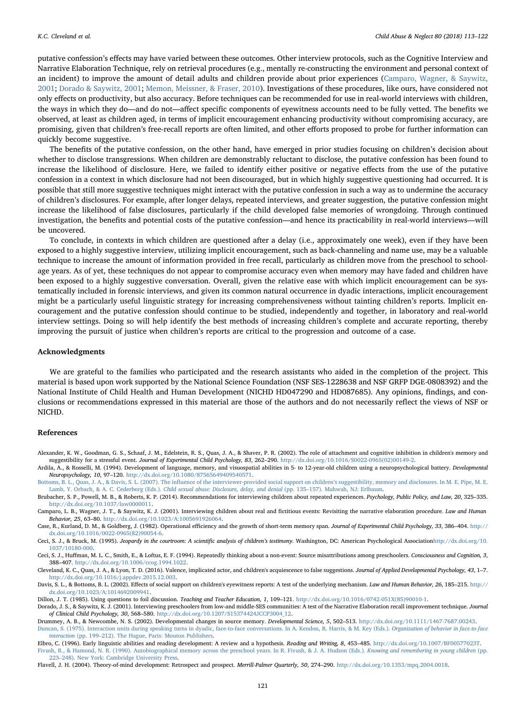putative confession's effects may have varied between these outcomes. Other interview protocols, such as the Cognitive Interview and Narrative Elaboration Technique, rely on retrieval procedures (e.g., mentally re-constructing the environment and personal context of an incident) to improve the amount of detail adults and children provide about prior experiences [\(Camparo, Wagner, & Saywitz,](#page-9-15) [2001;](#page-9-15) [Dorado & Saywitz, 2001;](#page-9-16) [Memon, Meissner, & Fraser, 2010](#page-10-41)). Investigations of these procedures, like ours, have considered not only effects on productivity, but also accuracy. Before techniques can be recommended for use in real-world interviews with children, the ways in which they do—and do not—affect specific components of eyewitness accounts need to be fully vetted. The benefits we observed, at least as children aged, in terms of implicit encouragement enhancing productivity without compromising accuracy, are promising, given that children's free-recall reports are often limited, and other efforts proposed to probe for further information can quickly become suggestive.

The benefits of the putative confession, on the other hand, have emerged in prior studies focusing on children's decision about whether to disclose transgressions. When children are demonstrably reluctant to disclose, the putative confession has been found to increase the likelihood of disclosure. Here, we failed to identify either positive or negative effects from the use of the putative confession in a context in which disclosure had not been discouraged, but in which highly suggestive questioning had occurred. It is possible that still more suggestive techniques might interact with the putative confession in such a way as to undermine the accuracy of children's disclosures. For example, after longer delays, repeated interviews, and greater suggestion, the putative confession might increase the likelihood of false disclosures, particularly if the child developed false memories of wrongdoing. Through continued investigation, the benefits and potential costs of the putative confession—and hence its practicability in real-world interviews—will be uncovered.

To conclude, in contexts in which children are questioned after a delay (i.e., approximately one week), even if they have been exposed to a highly suggestive interview, utilizing implicit encouragement, such as back-channeling and name use, may be a valuable technique to increase the amount of information provided in free recall, particularly as children move from the preschool to schoolage years. As of yet, these techniques do not appear to compromise accuracy even when memory may have faded and children have been exposed to a highly suggestive conversation. Overall, given the relative ease with which implicit encouragement can be systematically included in forensic interviews, and given its common natural occurrence in dyadic interactions, implicit encouragement might be a particularly useful linguistic strategy for increasing comprehensiveness without tainting children's reports. Implicit encouragement and the putative confession should continue to be studied, independently and together, in laboratory and real-world interview settings. Doing so will help identify the best methods of increasing children's complete and accurate reporting, thereby improving the pursuit of justice when children's reports are critical to the progression and outcome of a case.

### Acknowledgments

We are grateful to the families who participated and the research assistants who aided in the completion of the project. This material is based upon work supported by the National Science Foundation (NSF SES-1228638 and NSF GRFP DGE-0808392) and the National Institute of Child Health and Human Development (NICHD HD047290 and HD087685). Any opinions, findings, and conclusions or recommendations expressed in this material are those of the authors and do not necessarily reflect the views of NSF or NICHD.

## References

- <span id="page-9-13"></span>Alexander, K. W., Goodman, G. S., Schaaf, J. M., Edelstein, R. S., Quas, J. A., & Shaver, P. R. (2002). The role of attachment and cognitive inhibition in children's memory and suggestibility for a stressful event. Journal of Experimental Child Psychology, 83, 262-290. [http://dx.doi.org/10.1016/S0022-0965\(02\)00149-2.](http://dx.doi.org/10.1016/S0022-0965(02)00149-2)
- <span id="page-9-3"></span>Ardila, A., & Rosselli, M. (1994). Development of language, memory, and visuospatial abilities in 5- to 12-year-old children using a neuropsychological battery. Developmental Neuropsychology, 10, 97–120. [http://dx.doi.org/10.1080/87565649409540571.](http://dx.doi.org/10.1080/87565649409540571)
- <span id="page-9-7"></span>Bottoms, B. L., Quas, J. A., & Davis, S. L. (2007). The infl[uence of the interviewer-provided social support on children](http://refhub.elsevier.com/S0145-2134(18)30128-5/sbref0015)'s suggestibility, memory and disclosures. In M. E. Pipe, M. E. Lamb, Y. Orbach, & A. C. Cederborg (Eds.). [Child sexual abuse: Disclosure, delay, and denial](http://refhub.elsevier.com/S0145-2134(18)30128-5/sbref0015) (pp. 135–157). Mahwah, NJ: Erlbaum.
- <span id="page-9-0"></span>Brubacher, S. P., Powell, M. B., & Roberts, K. P. (2014). Recommendations for interviewing children about repeated experiences. Psychology, Public Policy, and Law, 20, 325–335. [http://dx.doi.org/10.1037/law0000011.](http://dx.doi.org/10.1037/law0000011)
- <span id="page-9-15"></span>Camparo, L. B., Wagner, J. T., & Saywitz, K. J. (2001). Interviewing children about real and fictitious events: Revisiting the narrative elaboration procedure. Law and Human Behavior, 25, 63–80. [http://dx.doi.org/10.1023/A:1005691926064.](http://dx.doi.org/10.1023/A:1005691926064)
- <span id="page-9-14"></span>Case, R., Kurland, D. M., & Goldberg, J. (1982). Operational efficiency and the growth of short-term memory span. Journal of Experimental Child Psychology, 33, 386–404. [http://](http://dx.doi.org/10.1016/0022-0965(82)90054-6) [dx.doi.org/10.1016/0022-0965\(82\)90054-6.](http://dx.doi.org/10.1016/0022-0965(82)90054-6)

<span id="page-9-11"></span>Ceci, S. J., & Bruck, M. (1995). Jeopardy in the courtroom: A scientific analysis of children's testimony. Washington, DC: American Psychological Association[http://dx.doi.org/10.](http://dx.doi.org/10.1037/10180-000) [1037/10180-000](http://dx.doi.org/10.1037/10180-000).

<span id="page-9-9"></span>Ceci, S. J., Huffman, M. L. C., Smith, E., & Loftus, E. F. (1994). Repeatedly thinking about a non-event: Source misattributions among preschoolers. Consciousness and Cognition, 3, 388–407. <http://dx.doi.org/10.1006/ccog.1994.1022>.

<span id="page-9-12"></span>Cleveland, K. C., Quas, J. A., & Lyon, T. D. (2016). Valence, implicated actor, and children's acquiescence to false suggestions. Journal of Applied Developmental Psychology, 43, 1–7. [http://dx.doi.org/10.1016/j.appdev.2015.12.003.](http://dx.doi.org/10.1016/j.appdev.2015.12.003)

<span id="page-9-8"></span>Davis, S. L., & Bottoms, B. L. (2002). Effects of social support on children's eyewitness reports: A test of the underlying mechanism. Law and Human Behavior, 26, 185-215. [http://](http://dx.doi.org/10.1023/A:1014692009941) [dx.doi.org/10.1023/A:1014692009941](http://dx.doi.org/10.1023/A:1014692009941).

<span id="page-9-2"></span>Dillon, J. T. (1985). Using questions to foil discussion. Teaching and Teacher Education, 1, 109–121. [http://dx.doi.org/10.1016/0742-051X\(85\)90010-1](http://dx.doi.org/10.1016/0742-051X(85)90010-1).

<span id="page-9-10"></span><span id="page-9-1"></span>Drummey, A. B., & Newcombe, N. S. (2002). Developmental changes in source memory. Developmental Science, 5, 502–513. <http://dx.doi.org/10.1111/1467-7687.00243>. [Duncan, S. \(1975\). Interaction units during speaking turns in dyadic, face-to-face conversations. In A. Kendon, R. Harris, & M. Key \(Eds.\).](http://refhub.elsevier.com/S0145-2134(18)30128-5/sbref0070) Organization of behavior in face-to-face interaction (pp. 199–[212\). The Hague, Paris: Mouton Publishers](http://refhub.elsevier.com/S0145-2134(18)30128-5/sbref0070).

<span id="page-9-6"></span><span id="page-9-4"></span>Elbro, C. (1996). Early linguistic abilities and reading development: A review and a hypothesis. Reading and Writing, 8, 453–485. [http://dx.doi.org/10.1007/BF00577023T.](http://dx.doi.org/10.1007/BF00577023T) [Fivush, R., & Hamond, N. R. \(1990\). Autobiographical memory across the preschool years. In R. Fivush, & J. A. Hudson \(Eds.\).](http://refhub.elsevier.com/S0145-2134(18)30128-5/sbref0080) Knowing and remembering in young children (pp. 223–[248\). New York: Cambridge University Press.](http://refhub.elsevier.com/S0145-2134(18)30128-5/sbref0080)

<span id="page-9-5"></span>Flavell, J. H. (2004). Theory-of-mind development: Retrospect and prospect. Merrill-Palmer Quarterly, 50, 274–290. [http://dx.doi.org/10.1353/mpq.2004.0018.](http://dx.doi.org/10.1353/mpq.2004.0018)

<span id="page-9-16"></span>Dorado, J. S., & Saywitz, K. J. (2001). Interviewing preschoolers from low-and middle-SES communities: A test of the Narrative Elaboration recall improvement technique. Journal of Clinical Child Psychology, 30, 568–580. [http://dx.doi.org/10.1207/S15374424JCCP3004\\_12.](http://dx.doi.org/10.1207/S15374424JCCP3004_12)